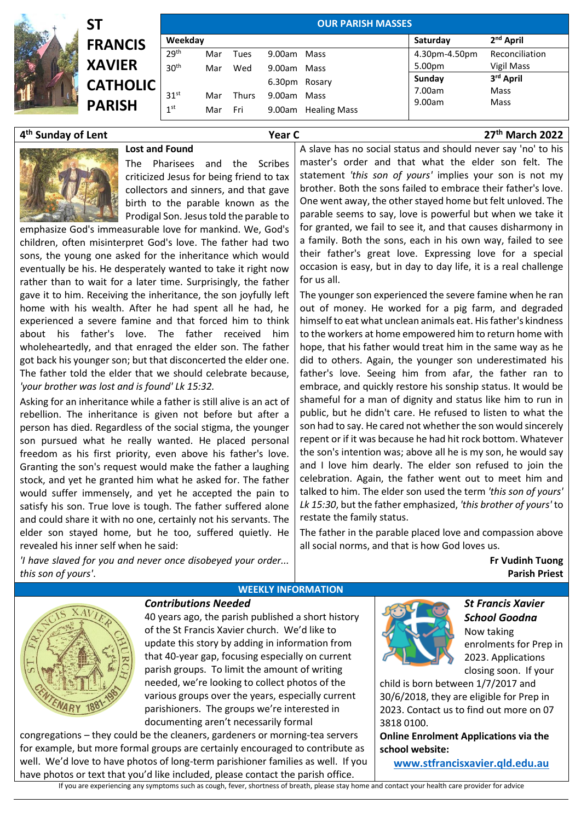| SΤ              | <b>OUR PARISH MASSES</b>                                            |     |              |  |                     |                                                                      |                   |                                  |  |
|-----------------|---------------------------------------------------------------------|-----|--------------|--|---------------------|----------------------------------------------------------------------|-------------------|----------------------------------|--|
|                 |                                                                     |     |              |  | Saturday            | 2 <sup>nd</sup> April                                                |                   |                                  |  |
|                 | 29 <sup>th</sup>                                                    | Mar | Tues         |  |                     | 4.30pm-4.50pm                                                        | Reconciliation    |                                  |  |
|                 | 30 <sup>th</sup>                                                    | Mar | Wed          |  |                     | 5.00pm                                                               | <b>Vigil Mass</b> |                                  |  |
|                 |                                                                     |     |              |  |                     | Sunday                                                               |                   |                                  |  |
|                 | 31 <sup>st</sup>                                                    | Mar | <b>Thurs</b> |  |                     |                                                                      |                   |                                  |  |
| 1 <sup>st</sup> |                                                                     | Mar | Fri          |  | <b>Healing Mass</b> |                                                                      |                   |                                  |  |
|                 | <b>FRANCIS</b><br><b>XAVIER</b><br><b>CATHOLIC</b><br><b>PARISH</b> |     | Weekday      |  |                     | 9.00am Mass<br>9.00am Mass<br>6.30pm Rosary<br>9.00am Mass<br>9.00am | 7.00am<br>9.00am  | 3rd April<br><b>Mass</b><br>Mass |  |

## **4 th Sunday of Lent Year C 27**

The Pharisees and the Scribes criticized Jesus for being friend to tax collectors and sinners, and that gave birth to the parable known as the Prodigal Son. Jesus told the parable to

emphasize God's immeasurable love for mankind. We, God's children, often misinterpret God's love. The father had two sons, the young one asked for the inheritance which would eventually be his. He desperately wanted to take it right now rather than to wait for a later time. Surprisingly, the father gave it to him. Receiving the inheritance, the son joyfully left home with his wealth. After he had spent all he had, he experienced a severe famine and that forced him to think about his father's love. The father received him wholeheartedly, and that enraged the elder son. The father got back his younger son; but that disconcerted the elder one. The father told the elder that we should celebrate because, *'your brother was lost and is found' Lk 15:32.*

**Lost and Found**

Asking for an inheritance while a father is still alive is an act of rebellion. The inheritance is given not before but after a person has died. Regardless of the social stigma, the younger son pursued what he really wanted. He placed personal freedom as his first priority, even above his father's love. Granting the son's request would make the father a laughing stock, and yet he granted him what he asked for. The father would suffer immensely, and yet he accepted the pain to satisfy his son. True love is tough. The father suffered alone and could share it with no one, certainly not his servants. The elder son stayed home, but he too, suffered quietly. He revealed his inner self when he said:

*'I have slaved for you and never once disobeyed your order... this son of yours'*.

A slave has no social status and should never say 'no' to his master's order and that what the elder son felt. The statement *'this son of yours'* implies your son is not my brother. Both the sons failed to embrace their father's love. One went away, the other stayed home but felt unloved. The parable seems to say, love is powerful but when we take it for granted, we fail to see it, and that causes disharmony in a family. Both the sons, each in his own way, failed to see their father's great love. Expressing love for a special occasion is easy, but in day to day life, it is a real challenge for us all.

The younger son experienced the severe famine when he ran out of money. He worked for a pig farm, and degraded himself to eat what unclean animals eat. His father's kindness to the workers at home empowered him to return home with hope, that his father would treat him in the same way as he did to others. Again, the younger son underestimated his father's love. Seeing him from afar, the father ran to embrace, and quickly restore his sonship status. It would be shameful for a man of dignity and status like him to run in public, but he didn't care. He refused to listen to what the son had to say. He cared not whether the son would sincerely repent or if it was because he had hit rock bottom. Whatever the son's intention was; above all he is my son, he would say and I love him dearly. The elder son refused to join the celebration. Again, the father went out to meet him and talked to him. The elder son used the term *'this son of yours' Lk 15:30*, but the father emphasized, *'this brother of yours'* to restate the family status.

The father in the parable placed love and compassion above all social norms, and that is how God loves us.

> **Fr Vudinh Tuong Parish Priest**

**th March 2022**



## **WEEKLY INFORMATION**

*Contributions Needed* 

40 years ago, the parish published a short history of the St Francis Xavier church. We'd like to update this story by adding in information from that 40-year gap, focusing especially on current parish groups. To limit the amount of writing needed, we're looking to collect photos of the various groups over the years, especially current parishioners. The groups we're interested in documenting aren't necessarily formal

congregations – they could be the cleaners, gardeners or morning-tea servers for example, but more formal groups are certainly encouraged to contribute as well. We'd love to have photos of long-term parishioner families as well. If you have photos or text that you'd like included, please contact the parish office.



*St Francis Xavier School Goodna*  Now taking enrolments for Prep in 2023. Applications closing soon. If your

child is born between 1/7/2017 and 30/6/2018, they are eligible for Prep in 2023. Contact us to find out more on 07 3818 0100.

**Online Enrolment Applications via the school website:** 

**[www.stfrancisxavier.qld.edu.au](https://protect-au.mimecast.com/s/3C4xCzvkN9sRgGk6IX5fwD?domain=stfrancisxavier.qld.edu.au)**

If you are experiencing any symptoms such as cough, fever, shortness of breath, please stay home and contact your health care provider for advice